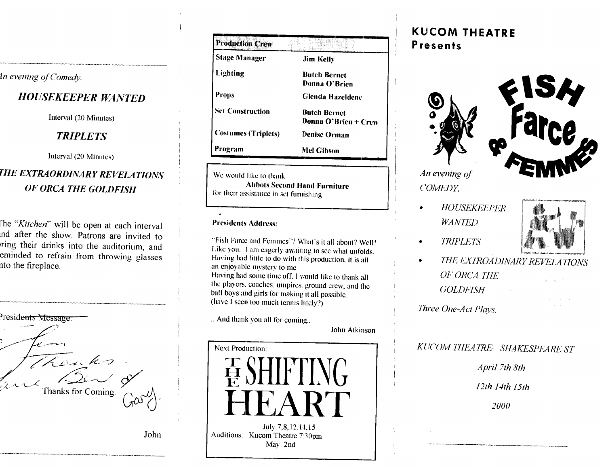In evening of Comedy.

## **HOUSEKEEPER WANTED**

Interval (20 Minutes)

## **TRIPLETS**

Interval (20 Minutes)

## THE EXTRAORDINARY REVELATIONS OF ORCA THE GOLDFISH

The "Kitchen" will be open at each interval and after the show. Patrons are invited to ring their drinks into the auditorium, and eminded to refrain from throwing glasses nto the fireplace.

| Presidents Message. |  |
|---------------------|--|
|                     |  |
| k. S                |  |
| Thanks for Coming.  |  |

John

| <b>Production Crew</b>     |                                             |
|----------------------------|---------------------------------------------|
| <b>Stage Manager</b>       | Jim Kelly                                   |
| Lighting                   | <b>Butch Bernet</b><br>Donna O'Brien        |
| <b>Props</b>               | <b>Glenda Hazeldene</b>                     |
| <b>Set Construction</b>    | <b>Butch Bernet</b><br>Donna O'Brien + Crew |
| <b>Costumes (Triplets)</b> | <b>Denise Orman</b>                         |
| Program                    | Mel Gibson                                  |

We would like to thank We Abbots Second for their assistance in set furnishing **for Ihcil assistance in sel furnishing** 

#### **Presidents Address:**

"Fish Farce and Femmes"? What's it all about? Well! Like you, I am eagerly awaiting to see what unfolds. Having had little to do with this production, it is all an enjoyable mystery to me. Having had some time off. I would like to thank all the players, coaches, umpires, ground crew, and the ball boys and girls for making it all possible. (have I seen too much tennis lately?)  $\mathcal{L}(\mathcal{A})$  seen too much tennis lately?)

.. And thank you all for coming... . And that  $\mathcal{L}$  and that  $\mathcal{L}$ 



may 2002 - 2003 - 2004 - 2005 - 2006 - 2007 - 2008 - 2009 - 2009 - 2009 - 2009 - 2009 - 2009 - 2009 - 2009 - 2<br>Digwyddiadau

## **KUCOM THEATRE Presents**





An evening of *COMEDY.* 

*HOUSEKEEPER* 



- *TRIPLETS*  $\bullet$
- *THE EXTROADINARY REVELATIONS OEORCA THE GOLDFISH*

*Three One-Act Plays.* 

## *KUCOM THEATRE -SHAKESPEARE ST*

*April 7th 8th* 

*12th Nth I5ih* 

*2000*